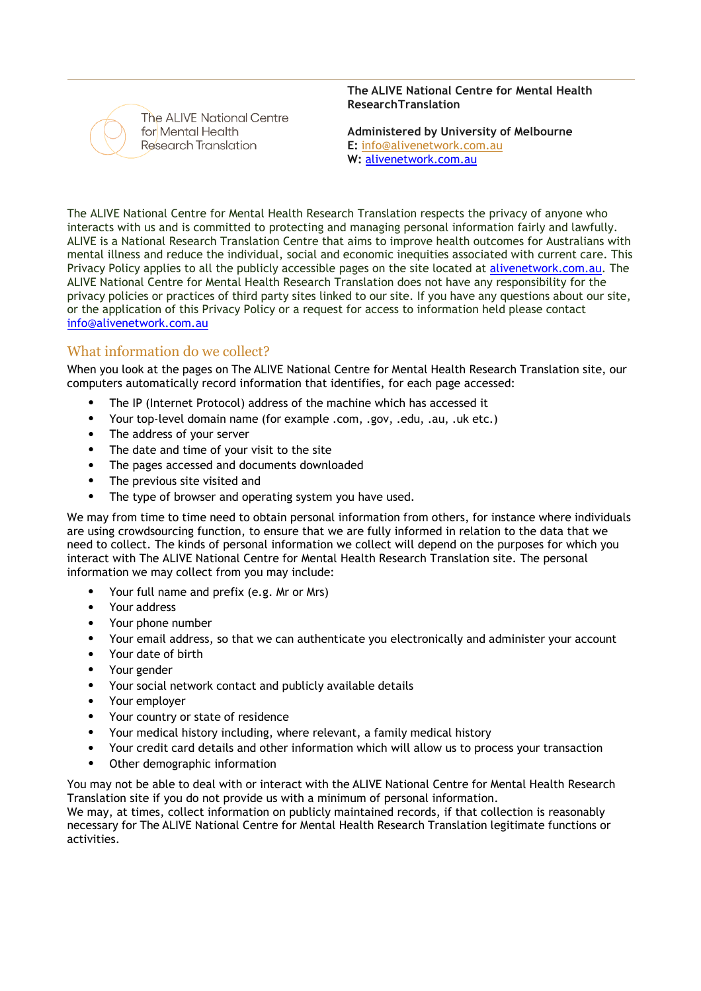

The ALIVE National Centre for Mental Health Research Translation

**The ALIVE National Centre for Mental Health ResearchTranslation**

**Administered by University of Melbourne E:** [info@alivenetwork.com.au](mailto:info@alivenetwork.com.au) **W:** alivenetwork.com.au

The ALIVE National Centre for Mental Health Research Translation respects the privacy of anyone who interacts with us and is committed to protecting and managing personal information fairly and lawfully. ALIVE is a National Research Translation Centre that aims to improve health outcomes for Australians with mental illness and reduce the individual, social and economic inequities associated with current care. This Privacy Policy applies to all the publicly accessible pages on the site located at alivenetwork.com.au. The ALIVE National Centre for Mental Health Research Translation does not have any responsibility for the privacy policies or practices of third party sites linked to our site. If you have any questions about our site, or the application of this Privacy Policy or a request for access to information held please contact [info@alivenetwork.com.au](mailto:info@alivenetwork.com.au)

## What information do we collect?

When you look at the pages on The ALIVE National Centre for Mental Health Research Translation site, our computers automatically record information that identifies, for each page accessed:

- The IP (Internet Protocol) address of the machine which has accessed it
- Your top-level domain name (for example .com, .gov, .edu, .au, .uk etc.)
- The address of your server
- The date and time of your visit to the site
- The pages accessed and documents downloaded
- The previous site visited and
- The type of browser and operating system you have used.

We may from time to time need to obtain personal information from others, for instance where individuals are using crowdsourcing function, to ensure that we are fully informed in relation to the data that we need to collect. The kinds of personal information we collect will depend on the purposes for which you interact with The ALIVE National Centre for Mental Health Research Translation site. The personal information we may collect from you may include:

- Your full name and prefix (e.g. Mr or Mrs)
- Your address
- Your phone number
- Your email address, so that we can authenticate you electronically and administer your account
- Your date of birth
- Your gender
- Your social network contact and publicly available details
- Your employer
- Your country or state of residence
- Your medical history including, where relevant, a family medical history
- Your credit card details and other information which will allow us to process your transaction
- Other demographic information

You may not be able to deal with or interact with the ALIVE National Centre for Mental Health Research Translation site if you do not provide us with a minimum of personal information.

We may, at times, collect information on publicly maintained records, if that collection is reasonably necessary for The ALIVE National Centre for Mental Health Research Translation legitimate functions or activities.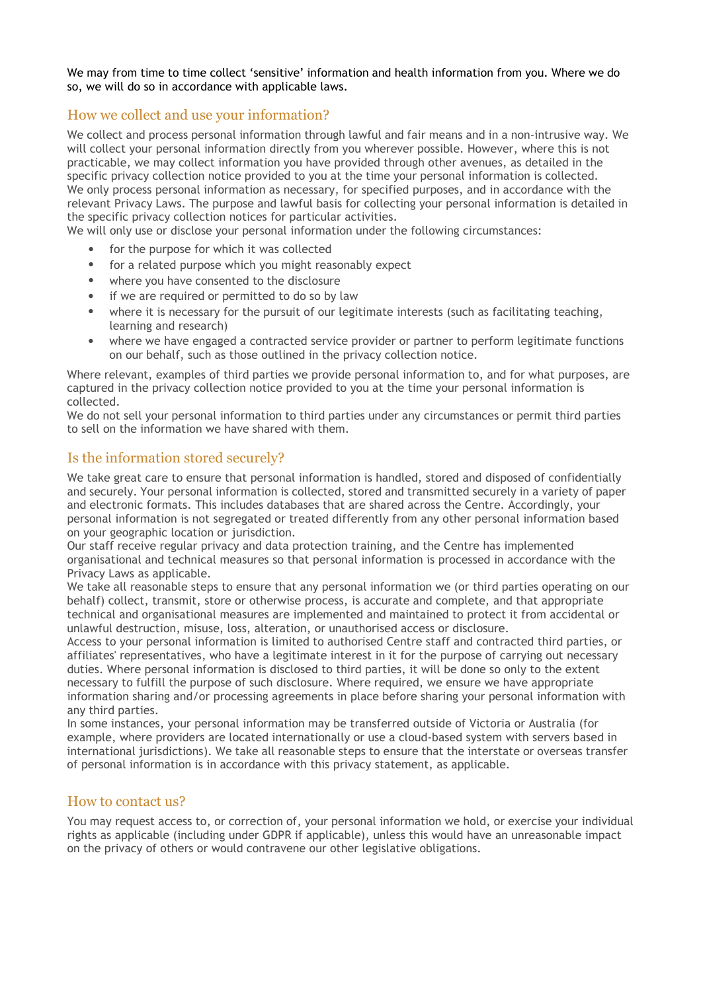We may from time to time collect 'sensitive' information and health information from you. Where we do so, we will do so in accordance with applicable laws.

# How we collect and use your information?

We collect and process personal information through lawful and fair means and in a non-intrusive way. We will collect your personal information directly from you wherever possible. However, where this is not practicable, we may collect information you have provided through other avenues, as detailed in the specific privacy collection notice provided to you at the time your personal information is collected. We only process personal information as necessary, for specified purposes, and in accordance with the relevant Privacy Laws. The purpose and lawful basis for collecting your personal information is detailed in the specific privacy collection notices for particular activities.

We will only use or disclose your personal information under the following circumstances:

- for the purpose for which it was collected
- for a related purpose which you might reasonably expect
- where you have consented to the disclosure
- if we are required or permitted to do so by law
- where it is necessary for the pursuit of our legitimate interests (such as facilitating teaching, learning and research)
- where we have engaged a contracted service provider or partner to perform legitimate functions on our behalf, such as those outlined in the privacy collection notice.

Where relevant, examples of third parties we provide personal information to, and for what purposes, are captured in the privacy collection notice provided to you at the time your personal information is collected.

We do not sell your personal information to third parties under any circumstances or permit third parties to sell on the information we have shared with them.

### Is the information stored securely?

We take great care to ensure that personal information is handled, stored and disposed of confidentially and securely. Your personal information is collected, stored and transmitted securely in a variety of paper and electronic formats. This includes databases that are shared across the Centre. Accordingly, your personal information is not segregated or treated differently from any other personal information based on your geographic location or jurisdiction.

Our staff receive regular privacy and data protection training, and the Centre has implemented organisational and technical measures so that personal information is processed in accordance with the Privacy Laws as applicable.

We take all reasonable steps to ensure that any personal information we (or third parties operating on our behalf) collect, transmit, store or otherwise process, is accurate and complete, and that appropriate technical and organisational measures are implemented and maintained to protect it from accidental or unlawful destruction, misuse, loss, alteration, or unauthorised access or disclosure.

Access to your personal information is limited to authorised Centre staff and contracted third parties, or affiliates' representatives, who have a legitimate interest in it for the purpose of carrying out necessary duties. Where personal information is disclosed to third parties, it will be done so only to the extent necessary to fulfill the purpose of such disclosure. Where required, we ensure we have appropriate information sharing and/or processing agreements in place before sharing your personal information with any third parties.

In some instances, your personal information may be transferred outside of Victoria or Australia (for example, where providers are located internationally or use a cloud-based system with servers based in international jurisdictions). We take all reasonable steps to ensure that the interstate or overseas transfer of personal information is in accordance with this privacy statement, as applicable.

#### How to contact us?

You may request access to, or correction of, your personal information we hold, or exercise your individual rights as applicable (including under GDPR if applicable), unless this would have an unreasonable impact on the privacy of others or would contravene our other legislative obligations.